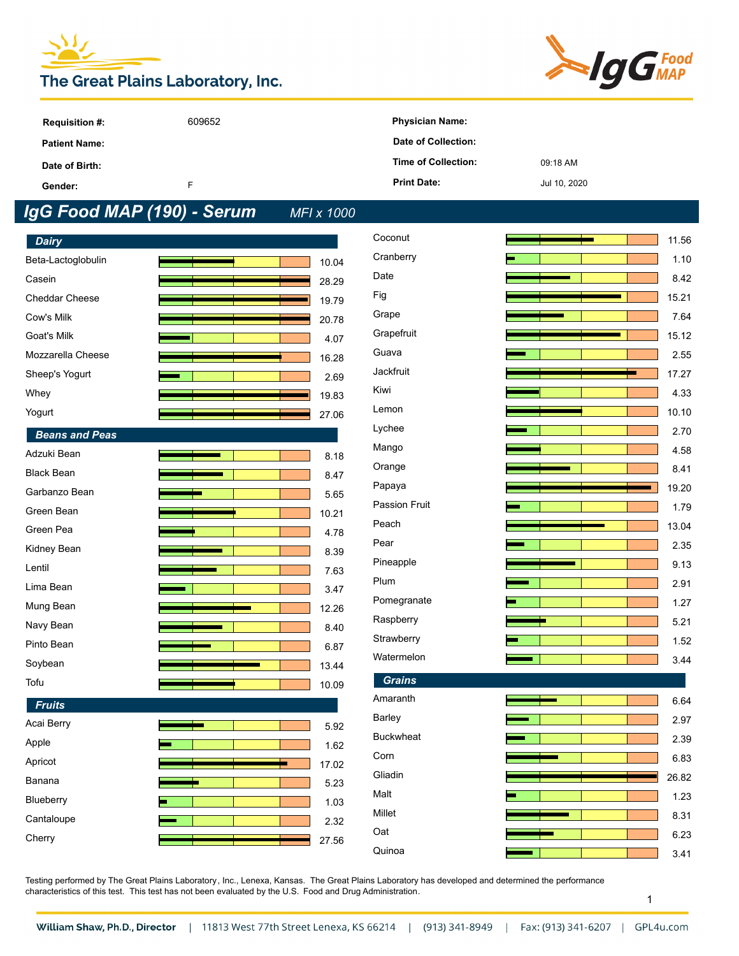# The Great Plains Laboratory, Inc.



| <b>Requisition #:</b> | 609652 | <b>Physician Name:</b>     |              |
|-----------------------|--------|----------------------------|--------------|
| <b>Patient Name:</b>  |        | Date of Collection:        |              |
| Date of Birth:        |        | <b>Time of Collection:</b> | 09:18 AM     |
| Gender:               |        | <b>Print Date:</b>         | Jul 10, 2020 |

## *IgG Food MAP (190) - Serum MFI x 1000*

| <b>Dairy</b>          |       |
|-----------------------|-------|
| Beta-Lactoglobulin    | 10.04 |
| Casein                | 28.29 |
| <b>Cheddar Cheese</b> | 19.79 |
| Cow's Milk            | 20.78 |
| Goat's Milk           | 4.07  |
| Mozzarella Cheese     | 16.28 |
| Sheep's Yogurt        | 2.69  |
| Whey                  | 19.83 |
| Yogurt                | 27.06 |
| <b>Beans and Peas</b> |       |
| Adzuki Bean           | 8.18  |
| <b>Black Bean</b>     | 8.47  |
| Garbanzo Bean         | 5.65  |
| Green Bean            | 10.21 |
| Green Pea             | 4.78  |
| Kidney Bean           | 8.39  |
| Lentil                | 7.63  |
| Lima Bean             | 3.47  |
| Mung Bean             | 12.26 |
| Navy Bean             | 8.40  |
| Pinto Bean            | 6.87  |
| Soybean               | 13.44 |
| Tofu                  | 10.09 |
| <b>Fruits</b>         |       |
| Acai Berry            | 5.92  |
| Apple                 | 1.62  |
| Apricot               | 17.02 |
| Banana                | 5.23  |
| Blueberry             | 1.03  |
| Cantaloupe            | 2.32  |
| Cherry                | 27.56 |

| Coconut          |  | 11.56 |
|------------------|--|-------|
| Cranberry        |  | 1.10  |
| Date             |  | 8.42  |
| Fig              |  | 15.21 |
| Grape            |  | 7.64  |
| Grapefruit       |  | 15.12 |
| Guava            |  | 2.55  |
| Jackfruit        |  | 17.27 |
| Kiwi             |  | 4.33  |
| Lemon            |  | 10.10 |
| Lychee           |  | 2.70  |
| Mango            |  | 4.58  |
| Orange           |  | 8.41  |
| Papaya           |  | 19.20 |
| Passion Fruit    |  | 1.79  |
| Peach            |  | 13.04 |
| Pear             |  | 2.35  |
| Pineapple        |  | 9.13  |
| Plum             |  | 2.91  |
| Pomegranate      |  | 1.27  |
| Raspberry        |  | 5.21  |
| Strawberry       |  | 1.52  |
| Watermelon       |  | 3.44  |
| <b>Grains</b>    |  |       |
| Amaranth         |  | 6.64  |
| Barley           |  | 2.97  |
| <b>Buckwheat</b> |  | 2.39  |
| Corn             |  | 6.83  |
| Gliadin          |  | 26.82 |
| Malt             |  | 1.23  |
| Millet           |  | 8.31  |
| Oat              |  | 6.23  |
| Quinoa           |  | 3.41  |
|                  |  |       |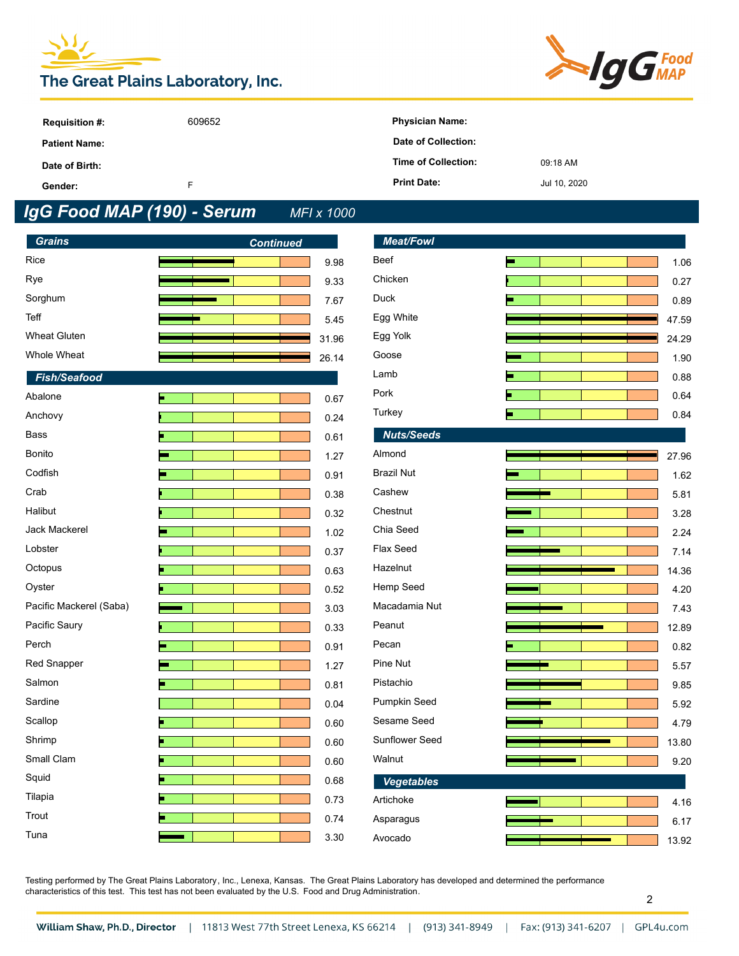



| <b>Requisition #:</b> | 609652 | <b>Physician Name:</b> |              |
|-----------------------|--------|------------------------|--------------|
| <b>Patient Name:</b>  |        | Date of Collection:    |              |
| Date of Birth:        |        | Time of Collection:    | 09:18 AM     |
| Gender:               | ш.     | <b>Print Date:</b>     | Jul 10, 2020 |

## *IgG Food MAP (190) - Serum MFI x 1000*

| <b>Grains</b>           | <b>Continued</b> |       | <b>Meat/Fowl</b>  |   |       |
|-------------------------|------------------|-------|-------------------|---|-------|
| Rice                    |                  | 9.98  | Beef              | ь | 1.06  |
| Rye                     |                  | 9.33  | Chicken           |   | 0.27  |
| Sorghum                 |                  | 7.67  | Duck              |   | 0.89  |
| Teff                    |                  | 5.45  | Egg White         |   | 47.59 |
| <b>Wheat Gluten</b>     |                  | 31.96 | Egg Yolk          |   | 24.29 |
| Whole Wheat             |                  | 26.14 | Goose             |   | 1.90  |
| <b>Fish/Seafood</b>     |                  |       | Lamb              |   | 0.88  |
| Abalone                 | п                | 0.67  | Pork              |   | 0.64  |
| Anchovy                 |                  | 0.24  | Turkey            |   | 0.84  |
| <b>Bass</b>             |                  | 0.61  | <b>Nuts/Seeds</b> |   |       |
| Bonito                  |                  | 1.27  | Almond            |   | 27.96 |
| Codfish                 |                  | 0.91  | <b>Brazil Nut</b> |   | 1.62  |
| Crab                    |                  | 0.38  | Cashew            |   | 5.81  |
| Halibut                 |                  | 0.32  | Chestnut          |   | 3.28  |
| Jack Mackerel           |                  | 1.02  | Chia Seed         |   | 2.24  |
| Lobster                 |                  | 0.37  | Flax Seed         |   | 7.14  |
| Octopus                 |                  | 0.63  | Hazelnut          |   | 14.36 |
| Oyster                  |                  | 0.52  | Hemp Seed         |   | 4.20  |
| Pacific Mackerel (Saba) |                  | 3.03  | Macadamia Nut     |   | 7.43  |
| Pacific Saury           |                  | 0.33  | Peanut            |   | 12.89 |
| Perch                   | ┓                | 0.91  | Pecan             |   | 0.82  |
| Red Snapper             |                  | 1.27  | Pine Nut          |   | 5.57  |
| Salmon                  |                  | 0.81  | Pistachio         |   | 9.85  |
| Sardine                 |                  | 0.04  | Pumpkin Seed      |   | 5.92  |
| Scallop                 |                  | 0.60  | Sesame Seed       |   | 4.79  |
| Shrimp                  |                  | 0.60  | Sunflower Seed    |   | 13.80 |
| Small Clam              |                  | 0.60  | Walnut            |   | 9.20  |
| Squid                   |                  | 0.68  | <b>Vegetables</b> |   |       |
| Tilapia                 | Б                | 0.73  | Artichoke         |   | 4.16  |
| Trout                   |                  | 0.74  | Asparagus         |   | 6.17  |
| Tuna                    |                  | 3.30  | Avocado           |   | 13.92 |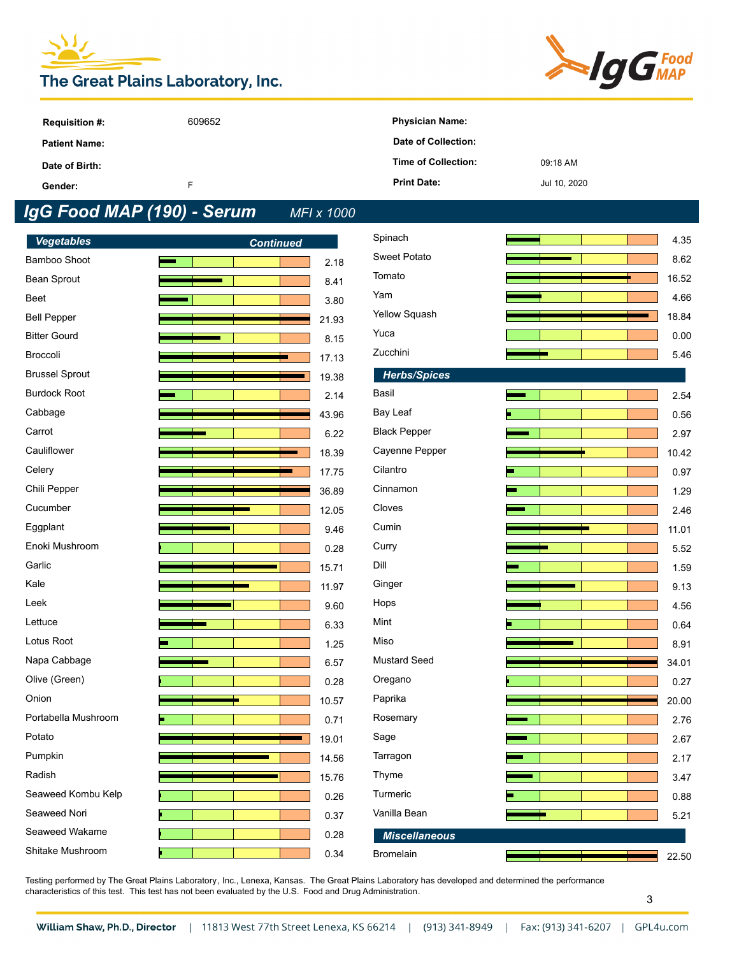



| <b>Requisition #:</b> | 609652 | <b>Physician Name:</b> |              |
|-----------------------|--------|------------------------|--------------|
| <b>Patient Name:</b>  |        | Date of Collection:    |              |
| Date of Birth:        |        | Time of Collection:    | 09:18 AM     |
| Gender:               |        | <b>Print Date:</b>     | Jul 10, 2020 |

## *IgG Food MAP (190) - Serum MFI x 1000*

| <b>Vegetables</b>     | <b>Continued</b> |       | Spinach              |    | 4.35  |
|-----------------------|------------------|-------|----------------------|----|-------|
| Bamboo Shoot          |                  | 2.18  | Sweet Potato         |    | 8.62  |
| Bean Sprout           |                  | 8.41  | Tomato               |    | 16.52 |
| Beet                  |                  | 3.80  | Yam                  |    | 4.66  |
| <b>Bell Pepper</b>    |                  | 21.93 | Yellow Squash        |    | 18.84 |
| <b>Bitter Gourd</b>   |                  | 8.15  | Yuca                 |    | 0.00  |
| Broccoli              |                  | 17.13 | Zucchini             |    | 5.46  |
| <b>Brussel Sprout</b> |                  | 19.38 | <b>Herbs/Spices</b>  |    |       |
| <b>Burdock Root</b>   |                  | 2.14  | Basil                |    | 2.54  |
| Cabbage               |                  | 43.96 | Bay Leaf             |    | 0.56  |
| Carrot                |                  | 6.22  | <b>Black Pepper</b>  |    | 2.97  |
| Cauliflower           |                  | 18.39 | Cayenne Pepper       |    | 10.42 |
| Celery                |                  | 17.75 | Cilantro             | ⊐  | 0.97  |
| Chili Pepper          |                  | 36.89 | Cinnamon             | ÷, | 1.29  |
| Cucumber              |                  | 12.05 | Cloves               |    | 2.46  |
| Eggplant              |                  | 9.46  | Cumin                |    | 11.01 |
| Enoki Mushroom        |                  | 0.28  | Curry                |    | 5.52  |
| Garlic                |                  | 15.71 | Dill                 |    | 1.59  |
| Kale                  |                  | 11.97 | Ginger               |    | 9.13  |
| Leek                  |                  | 9.60  | Hops                 |    | 4.56  |
| Lettuce               |                  | 6.33  | Mint                 |    | 0.64  |
| Lotus Root            |                  | 1.25  | Miso                 |    | 8.91  |
| Napa Cabbage          |                  | 6.57  | <b>Mustard Seed</b>  |    | 34.01 |
| Olive (Green)         |                  | 0.28  | Oregano              |    | 0.27  |
| Onion                 |                  | 10.57 | Paprika              |    | 20.00 |
| Portabella Mushroom   |                  | 0.71  | Rosemary             |    | 2.76  |
| Potato                |                  | 19.01 | Sage                 |    | 2.67  |
| Pumpkin               |                  | 14.56 | Tarragon             |    | 2.17  |
| Radish                |                  | 15.76 | Thyme                |    | 3.47  |
| Seaweed Kombu Kelp    |                  | 0.26  | Turmeric             |    | 0.88  |
| Seaweed Nori          |                  | 0.37  | Vanilla Bean         |    | 5.21  |
| Seaweed Wakame        |                  | 0.28  | <b>Miscellaneous</b> |    |       |
| Shitake Mushroom      |                  | 0.34  | <b>Bromelain</b>     |    | 22.50 |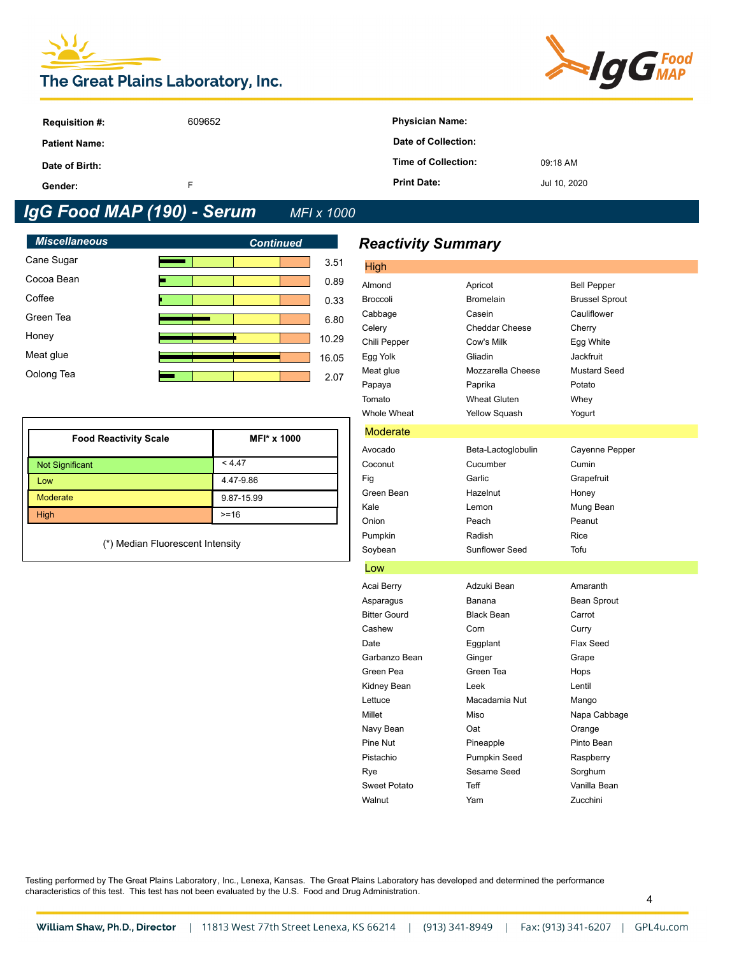# The Great Plains Laboratory, Inc.



| <b>Requisition #:</b> | 609652 | <b>Physician Name:</b> |              |
|-----------------------|--------|------------------------|--------------|
| <b>Patient Name:</b>  |        | Date of Collection:    |              |
| Date of Birth:        |        | Time of Collection:    | 09:18 AM     |
| Gender:               | ┕      | <b>Print Date:</b>     | Jul 10, 2020 |

## *IgG Food MAP (190) - Serum MFI x 1000*

| <b>Miscellaneous</b> | <b>Continued</b> |
|----------------------|------------------|
| Cane Sugar           | 3.51             |
| Cocoa Bean           | 0.89             |
| Coffee               | 0.33             |
| Green Tea            | 6.80             |
| Honey                | 10.29            |
| Meat glue            | 16.05            |
| Oolong Tea           | 2.07             |
|                      |                  |

| <b>Food Reactivity Scale</b> | MFI* x 1000 |
|------------------------------|-------------|
| <b>Not Significant</b>       | < 4.47      |
| Low                          | 4.47-9.86   |
| <b>Moderate</b>              | 9.87-15.99  |
| High                         | $>= 16$     |

(\*) Median Fluorescent Intensity

### *Reactivity Summary*

| High                |                       |                       |
|---------------------|-----------------------|-----------------------|
| Almond              | Apricot               | <b>Bell Pepper</b>    |
| <b>Broccoli</b>     | <b>Bromelain</b>      | <b>Brussel Sprout</b> |
| Cabbage             | Casein                | Cauliflower           |
| Celery              | <b>Cheddar Cheese</b> | Cherry                |
| Chili Pepper        | Cow's Milk            | Egg White             |
| Egg Yolk            | Gliadin               | Jackfruit             |
| Meat glue           | Mozzarella Cheese     | <b>Mustard Seed</b>   |
| Papaya              | Paprika               | Potato                |
| Tomato              | <b>Wheat Gluten</b>   | Whey                  |
| Whole Wheat         | <b>Yellow Squash</b>  | Yogurt                |
| Moderate            |                       |                       |
| Avocado             | Beta-Lactoglobulin    | Cayenne Pepper        |
| Coconut             | Cucumber              | Cumin                 |
| Fig                 | Garlic                | Grapefruit            |
| Green Bean          | Hazelnut              | Honey                 |
| Kale                | Lemon                 | Mung Bean             |
| Onion               | Peach                 | Peanut                |
| Pumpkin             | Radish                | Rice                  |
| Soybean             | <b>Sunflower Seed</b> | Tofu                  |
| Low                 |                       |                       |
| Acai Berry          | Adzuki Bean           | Amaranth              |
| Asparagus           | Banana                | Bean Sprout           |
| <b>Bitter Gourd</b> | <b>Black Bean</b>     | Carrot                |
| Cashew              | Corn                  | Curry                 |
| Date                | Eggplant              | Flax Seed             |
| Garbanzo Bean       | Ginger                | Grape                 |
| Green Pea           | Green Tea             | Hops                  |
| Kidney Bean         | Leek                  | Lentil                |
| Lettuce             | Macadamia Nut         | Mango                 |
| Millet              | Miso                  | Napa Cabbage          |
| Navy Bean           | Oat                   | Orange                |
| Pine Nut            | Pineapple             | Pinto Bean            |
| Pistachio           | Pumpkin Seed          | Raspberry             |
| Rye                 | Sesame Seed           | Sorghum               |
| <b>Sweet Potato</b> | <b>Teff</b>           | Vanilla Bean          |
| Walnut              | Yam                   | Zucchini              |
|                     |                       |                       |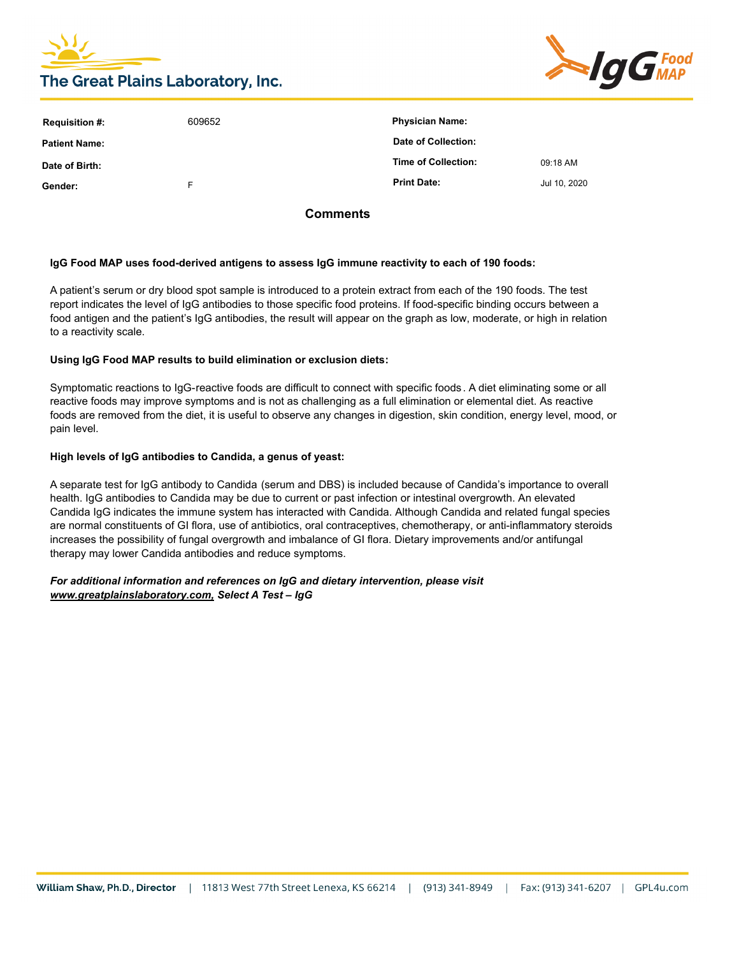



| <b>Requisition #:</b> | 609652 | <b>Physician Name:</b> |              |
|-----------------------|--------|------------------------|--------------|
| Patient Name:         |        | Date of Collection:    |              |
| Date of Birth:        |        | Time of Collection:    | 09:18 AM     |
| Gender:               | F      | <b>Print Date:</b>     | Jul 10, 2020 |
|                       |        |                        |              |

**Comments**

#### **IgG Food MAP uses food-derived antigens to assess IgG immune reactivity to each of 190 foods:**

A patient's serum or dry blood spot sample is introduced to a protein extract from each of the 190 foods. The test report indicates the level of IgG antibodies to those specific food proteins. If food-specific binding occurs between a food antigen and the patient's IgG antibodies, the result will appear on the graph as low, moderate, or high in relation to a reactivity scale.

#### **Using IgG Food MAP results to build elimination or exclusion diets:**

Symptomatic reactions to IgG-reactive foods are difficult to connect with specific foods. A diet eliminating some or all reactive foods may improve symptoms and is not as challenging as a full elimination or elemental diet. As reactive foods are removed from the diet, it is useful to observe any changes in digestion, skin condition, energy level, mood, or pain level.

#### **High levels of IgG antibodies to Candida, a genus of yeast:**

A separate test for IgG antibody to Candida (serum and DBS) is included because of Candida's importance to overall health. IgG antibodies to Candida may be due to current or past infection or intestinal overgrowth. An elevated Candida IgG indicates the immune system has interacted with Candida. Although Candida and related fungal species are normal constituents of GI flora, use of antibiotics, oral contraceptives, chemotherapy, or anti-inflammatory steroids increases the possibility of fungal overgrowth and imbalance of GI flora. Dietary improvements and/or antifungal therapy may lower Candida antibodies and reduce symptoms.

#### *For additional information and references on IgG and dietary intervention, please visit www.greatplainslaboratory.com, Select A Test – IgG*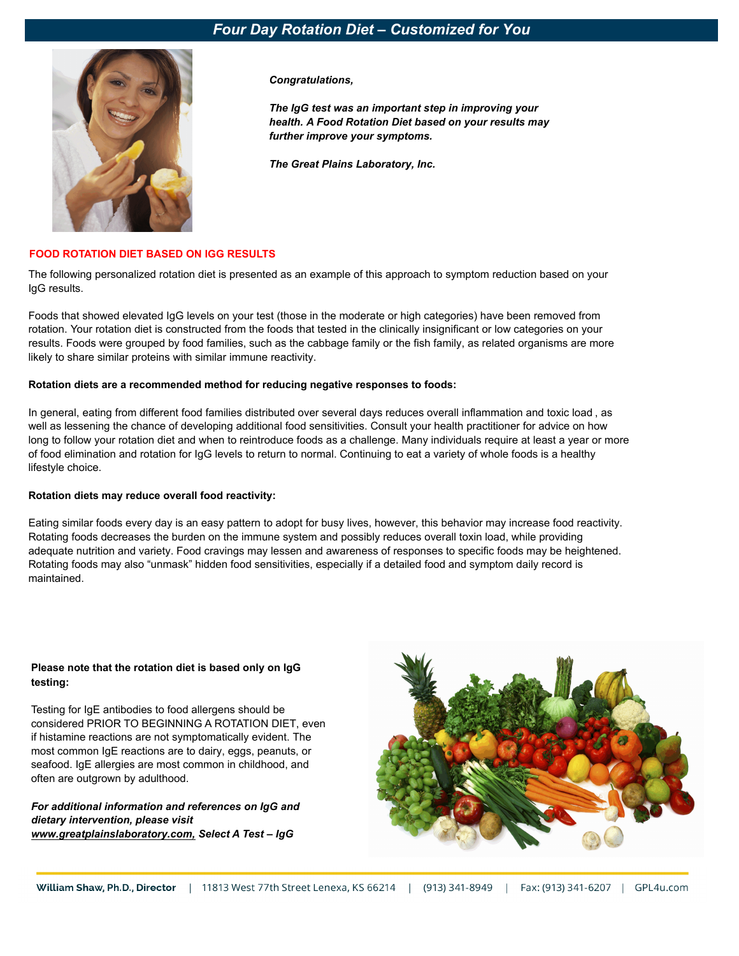### *Four Day Rotation Diet – Customized for You*



*Congratulations,* 

*The IgG test was an important step in improving your health. A Food Rotation Diet based on your results may further improve your symptoms.* 

*The Great Plains Laboratory, Inc.*

#### **FOOD ROTATION DIET BASED ON IGG RESULTS**

The following personalized rotation diet is presented as an example of this approach to symptom reduction based on your IgG results.

Foods that showed elevated IgG levels on your test (those in the moderate or high categories) have been removed from rotation. Your rotation diet is constructed from the foods that tested in the clinically insignificant or low categories on your results. Foods were grouped by food families, such as the cabbage family or the fish family, as related organisms are more likely to share similar proteins with similar immune reactivity.

#### **Rotation diets are a recommended method for reducing negative responses to foods:**

In general, eating from different food families distributed over several days reduces overall inflammation and toxic load , as well as lessening the chance of developing additional food sensitivities. Consult your health practitioner for advice on how long to follow your rotation diet and when to reintroduce foods as a challenge. Many individuals require at least a year or more of food elimination and rotation for IgG levels to return to normal. Continuing to eat a variety of whole foods is a healthy lifestyle choice.

#### **Rotation diets may reduce overall food reactivity:**

Eating similar foods every day is an easy pattern to adopt for busy lives, however, this behavior may increase food reactivity. Rotating foods decreases the burden on the immune system and possibly reduces overall toxin load, while providing adequate nutrition and variety. Food cravings may lessen and awareness of responses to specific foods may be heightened. Rotating foods may also "unmask" hidden food sensitivities, especially if a detailed food and symptom daily record is maintained.

#### **Please note that the rotation diet is based only on IgG testing:**

Testing for IgE antibodies to food allergens should be considered PRIOR TO BEGINNING A ROTATION DIET, even if histamine reactions are not symptomatically evident. The most common IgE reactions are to dairy, eggs, peanuts, or seafood. IgE allergies are most common in childhood, and often are outgrown by adulthood.

*For additional information and references on IgG and dietary intervention, please visit www.greatplainslaboratory.com, Select A Test – IgG*

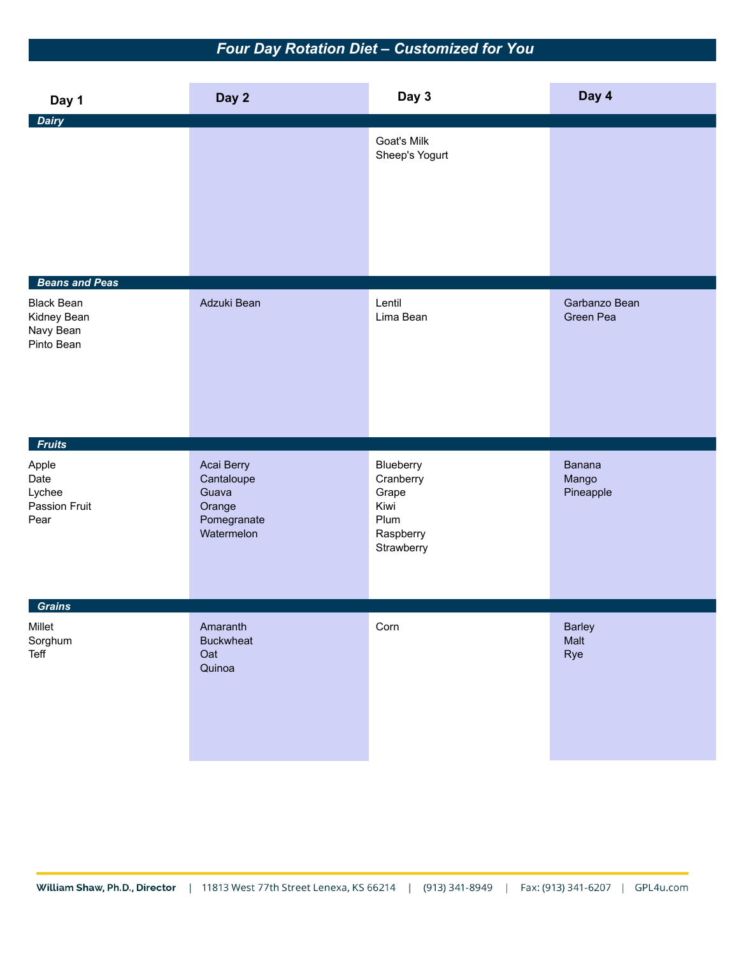### *Four Day Rotation Diet – Customized for You*

| Day 1                                                                                | Day 2                                                                    | Day 3                                                                      | Day 4                        |
|--------------------------------------------------------------------------------------|--------------------------------------------------------------------------|----------------------------------------------------------------------------|------------------------------|
| <b>Dairy</b>                                                                         |                                                                          | Goat's Milk<br>Sheep's Yogurt                                              |                              |
| <b>Beans and Peas</b><br><b>Black Bean</b><br>Kidney Bean<br>Navy Bean<br>Pinto Bean | Adzuki Bean                                                              | Lentil<br>Lima Bean                                                        | Garbanzo Bean<br>Green Pea   |
| <b>Fruits</b>                                                                        |                                                                          |                                                                            |                              |
| Apple<br>Date<br>Lychee<br>Passion Fruit<br>Pear                                     | Acai Berry<br>Cantaloupe<br>Guava<br>Orange<br>Pomegranate<br>Watermelon | Blueberry<br>Cranberry<br>Grape<br>Kiwi<br>Plum<br>Raspberry<br>Strawberry | Banana<br>Mango<br>Pineapple |
| <b>Grains</b><br>Millet                                                              | Amaranth                                                                 | Corn                                                                       | <b>Barley</b>                |
| Sorghum<br>Teff                                                                      | <b>Buckwheat</b><br>Oat<br>Quinoa                                        |                                                                            | Malt<br>Rye                  |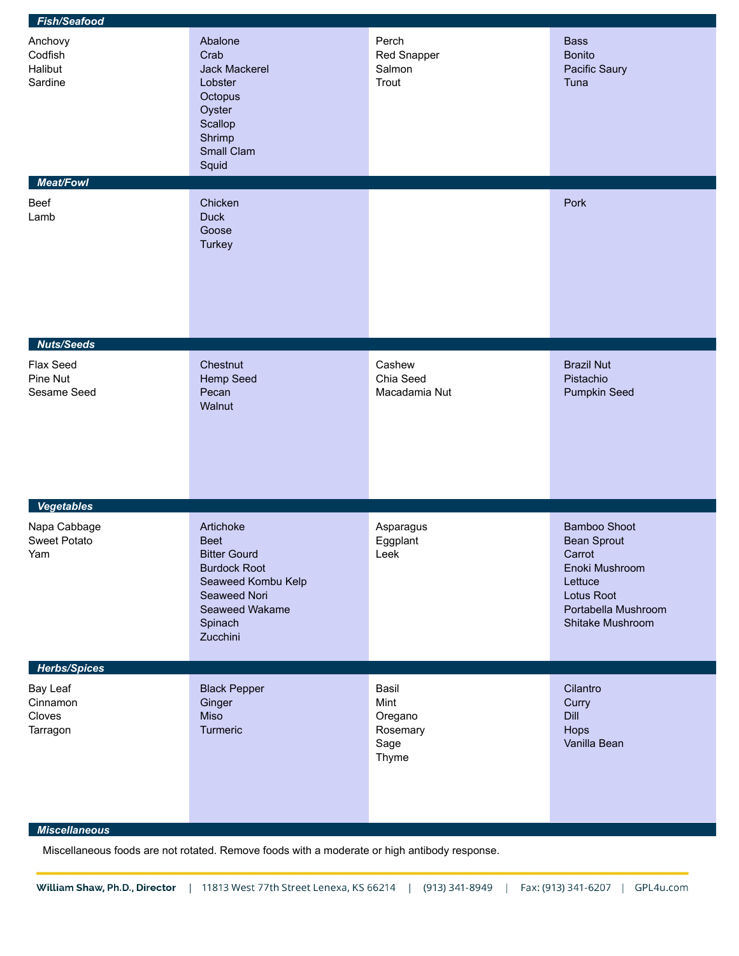| <b>Fish/Seafood</b>                                                |                                                                                                                                                       |                                                       |                                                                                                                                    |  |  |
|--------------------------------------------------------------------|-------------------------------------------------------------------------------------------------------------------------------------------------------|-------------------------------------------------------|------------------------------------------------------------------------------------------------------------------------------------|--|--|
| Anchovy<br>Codfish<br>Halibut<br>Sardine                           | Abalone<br>Crab<br>Jack Mackerel<br>Lobster<br>Octopus<br>Oyster<br>Scallop<br>Shrimp<br>Small Clam<br>Squid                                          | Perch<br>Red Snapper<br>Salmon<br>Trout               | <b>Bass</b><br><b>Bonito</b><br>Pacific Saury<br>Tuna                                                                              |  |  |
| <b>Meat/Fowl</b>                                                   |                                                                                                                                                       |                                                       |                                                                                                                                    |  |  |
| Beef<br>Lamb                                                       | Chicken<br><b>Duck</b><br>Goose<br>Turkey                                                                                                             |                                                       | Pork                                                                                                                               |  |  |
| <b>Nuts/Seeds</b>                                                  |                                                                                                                                                       |                                                       |                                                                                                                                    |  |  |
| Flax Seed<br>Pine Nut<br>Sesame Seed                               | Chestnut<br><b>Hemp Seed</b><br>Pecan<br>Walnut                                                                                                       | Cashew<br>Chia Seed<br>Macadamia Nut                  | <b>Brazil Nut</b><br>Pistachio<br>Pumpkin Seed                                                                                     |  |  |
| <b>Vegetables</b>                                                  |                                                                                                                                                       |                                                       |                                                                                                                                    |  |  |
| Napa Cabbage<br><b>Sweet Potato</b><br>Yam                         | Artichoke<br><b>Beet</b><br><b>Bitter Gourd</b><br><b>Burdock Root</b><br>Seaweed Kombu Kelp<br>Seaweed Nori<br>Seaweed Wakame<br>Spinach<br>Zucchini | Asparagus<br>Eggplant<br>Leek                         | <b>Bamboo Shoot</b><br>Bean Sprout<br>Carrot<br>Enoki Mushroom<br>Lettuce<br>Lotus Root<br>Portabella Mushroom<br>Shitake Mushroom |  |  |
| <b>Herbs/Spices</b>                                                |                                                                                                                                                       |                                                       |                                                                                                                                    |  |  |
| Bay Leaf<br>Cinnamon<br>Cloves<br>Tarragon<br><b>Miscellaneous</b> | <b>Black Pepper</b><br>Ginger<br>Miso<br>Turmeric                                                                                                     | Basil<br>Mint<br>Oregano<br>Rosemary<br>Sage<br>Thyme | Cilantro<br>Curry<br>Dill<br>Hops<br>Vanilla Bean                                                                                  |  |  |

Miscellaneous foods are not rotated. Remove foods with a moderate or high antibody response.